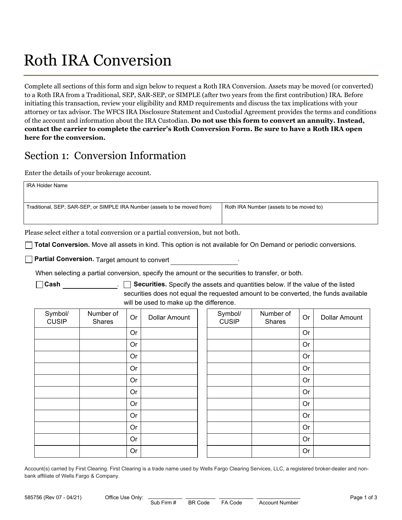# Roth IRA Conversion

Complete all sections of this form and sign below to request a Roth IRA Conversion. Assets may be moved (or converted) to a Roth IRA from a Traditional, SEP, SAR-SEP, or SIMPLE (after two years from the first contribution) IRA. Before initiating this transaction, review your eligibility and RMD requirements and discuss the tax implications with your attorney or tax advisor. The WFCS IRA Disclosure Statement and Custodial Agreement provides the terms and conditions of the account and information about the IRA Custodian. Do not use this form to convert an annuity. Instead, contact the carrier to complete the carrier's Roth Conversion Form. Be sure to have a Roth IRA open here for the conversion.

## Section 1: Conversion Information

Enter the details of your brokerage account.

| <b>IRA Holder Name</b>                                                    |                                         |  |
|---------------------------------------------------------------------------|-----------------------------------------|--|
| Traditional, SEP, SAR-SEP, or SIMPLE IRA Number (assets to be moved from) | Roth IRA Number (assets to be moved to) |  |

Please select either a total conversion or a partial conversion, but not both.

Total Conversion. Move all assets in kind. This option is not available for On Demand or periodic conversions.

**Partial Conversion.** Target amount to convert

When selecting a partial conversion, specify the amount or the securities to transfer, or both.

 $\Box$  Cash  $\Box$  Securities. Specify the assets and quantities below. If the value of the listed securities does not equal the requested amount to be converted, the funds available will be used to make up the difference.

| Account(s) carried by First Clearing. First Clearing is a trade name used by Wells Fargo Clearing Services, LLC, a registered broker-dealer and non- |
|------------------------------------------------------------------------------------------------------------------------------------------------------|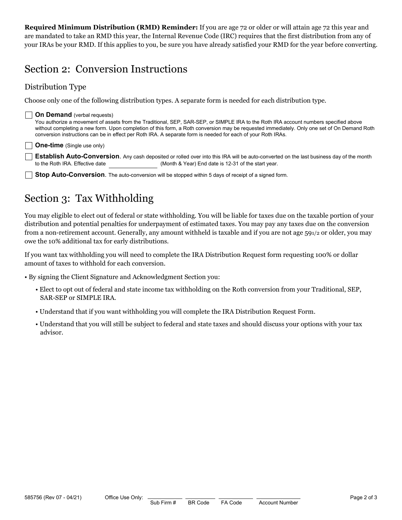Required Minimum Distribution (RMD) Reminder: If you are age 72 or older or will attain age 72 this year and are mandated to take an RMD this year, the Internal Revenue Code (IRC) requires that the first distribution from any of your IRAs be your RMD. If this applies to you, be sure you have already satisfied your RMD for the year before converting.

## Section 2: Conversion Instructions

### Distribution Type

Choose only one of the following distribution types. A separate form is needed for each distribution type.

## **On Demand** (verbal requests)

You authorize a movement of assets from the Traditional, SEP, SAR-SEP, or SIMPLE IRA to the Roth IRA account numbers specified above without completing a new form. Upon completion of this form, a Roth conversion may be requested immediately. Only one set of On Demand Roth conversion instructions can be in effect per Roth IRA. A separate form is needed for each of your Roth IRAs.

#### One-time (Single use only)

**Establish Auto-Conversion**. Any cash deposited or rolled over into this IRA will be auto-converted on the last business day of the month to the Roth IRA. Effective date (Month & Year) End date is 12-31 of the start year.

**Stop Auto-Conversion**. The auto-conversion will be stopped within 5 days of receipt of a signed form.

# Section 3: Tax Withholding

You may eligible to elect out of federal or state withholding. You will be liable for taxes due on the taxable portion of your distribution and potential penalties for underpayment of estimated taxes. You may pay any taxes due on the conversion from a non-retirement account. Generally, any amount withheld is taxable and if you are not age 591/2 or older, you may owe the 10% additional tax for early distributions.

If you want tax withholding you will need to complete the IRA Distribution Request form requesting 100% or dollar amount of taxes to withhold for each conversion.

- By signing the Client Signature and Acknowledgment Section you:
	- Elect to opt out of federal and state income tax withholding on the Roth conversion from your Traditional, SEP, SAR-SEP or SIMPLE IRA.
	- Understand that if you want withholding you will complete the IRA Distribution Request Form.
- 585756 (Rev 07 04/21) Office Use Only:  $\frac{1}{3 \text{ub} + \text{irm} + \text{B R Code}}$  FA Code • Understand that you will still be subject to federal and state taxes and should discuss your options with your tax advisor.